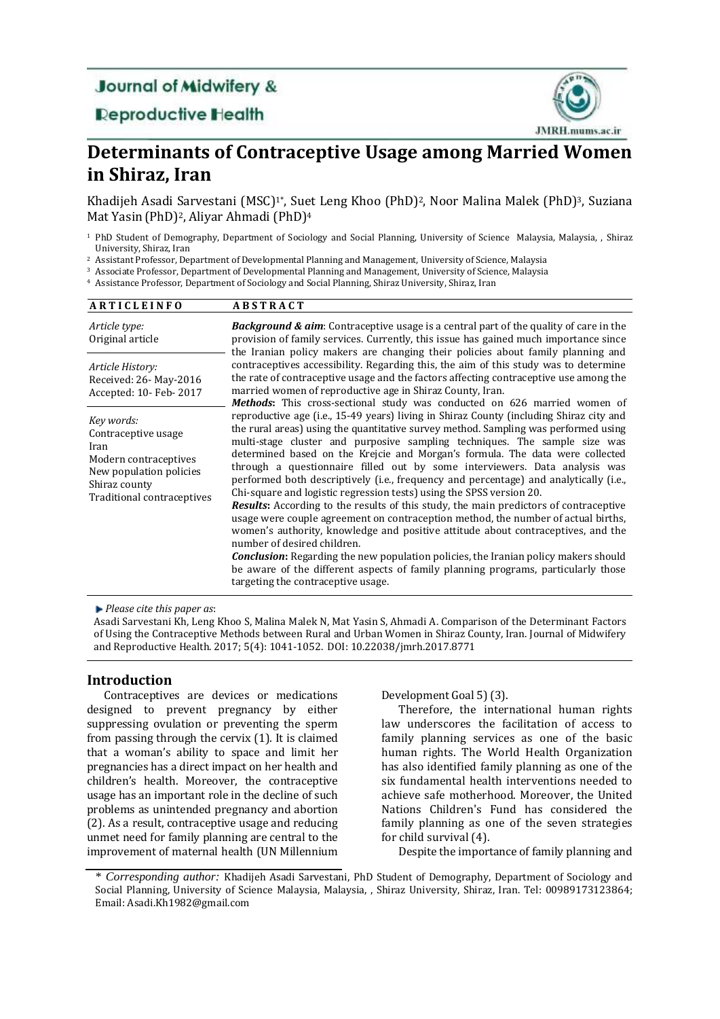## **Journal of Midwifery &**

**Deproductive Health** 



# **Determinants of Contraceptive Usage among Married Women in Shiraz, Iran**

Khadijeh Asadi Sarvestani (MSC)<sup>1\*</sup>, Suet Leng Khoo (PhD)<sup>2</sup>, Noor Malina Malek (PhD)<sup>3</sup>, Suziana Mat Yasin(PhD) <sup>2</sup>, Aliyar Ahmadi (PhD) 4

<sup>2</sup> Assistant Professor, Department of Developmental Planning and Management, University of Science, Malaysia

<sup>3</sup> Associate Professor, Department of Developmental Planning and Management, University of Science, Malaysia

<sup>4</sup> Assistance Professor, Department of Sociology and Social Planning, Shiraz University, Shiraz, Iran

| <b>ARTICLEINFO</b>                                                                                                                           | <b>ABSTRACT</b>                                                                                                                                                                                                                                                                                                                                                                                                                                                                                                                                                                                                                                                                                                                                                                                                                                                                                                                                                                                                                                                                                                                                                                                                   |
|----------------------------------------------------------------------------------------------------------------------------------------------|-------------------------------------------------------------------------------------------------------------------------------------------------------------------------------------------------------------------------------------------------------------------------------------------------------------------------------------------------------------------------------------------------------------------------------------------------------------------------------------------------------------------------------------------------------------------------------------------------------------------------------------------------------------------------------------------------------------------------------------------------------------------------------------------------------------------------------------------------------------------------------------------------------------------------------------------------------------------------------------------------------------------------------------------------------------------------------------------------------------------------------------------------------------------------------------------------------------------|
| Article type:<br>Original article                                                                                                            | <b>Background &amp; aim:</b> Contraceptive usage is a central part of the quality of care in the<br>provision of family services. Currently, this issue has gained much importance since<br>the Iranian policy makers are changing their policies about family planning and                                                                                                                                                                                                                                                                                                                                                                                                                                                                                                                                                                                                                                                                                                                                                                                                                                                                                                                                       |
| Article History:<br>Received: 26- May-2016<br>Accepted: 10- Feb- 2017                                                                        | contraceptives accessibility. Regarding this, the aim of this study was to determine<br>the rate of contraceptive usage and the factors affecting contraceptive use among the<br>married women of reproductive age in Shiraz County, Iran.                                                                                                                                                                                                                                                                                                                                                                                                                                                                                                                                                                                                                                                                                                                                                                                                                                                                                                                                                                        |
| Key words:<br>Contraceptive usage<br>Iran<br>Modern contraceptives<br>New population policies<br>Shiraz county<br>Traditional contraceptives | <b>Methods:</b> This cross-sectional study was conducted on 626 married women of<br>reproductive age (i.e., 15-49 years) living in Shiraz County (including Shiraz city and<br>the rural areas) using the quantitative survey method. Sampling was performed using<br>multi-stage cluster and purposive sampling techniques. The sample size was<br>determined based on the Krejcie and Morgan's formula. The data were collected<br>through a questionnaire filled out by some interviewers. Data analysis was<br>performed both descriptively (i.e., frequency and percentage) and analytically (i.e.,<br>Chi-square and logistic regression tests) using the SPSS version 20.<br><b>Results:</b> According to the results of this study, the main predictors of contraceptive<br>usage were couple agreement on contraception method, the number of actual births,<br>women's authority, knowledge and positive attitude about contraceptives, and the<br>number of desired children.<br><b>Conclusion:</b> Regarding the new population policies, the Iranian policy makers should<br>be aware of the different aspects of family planning programs, particularly those<br>targeting the contraceptive usage. |

*Please cite this paper as*:

Asadi Sarvestani Kh, Leng Khoo S, Malina Malek N, Mat Yasin S, Ahmadi A. Comparison of the Determinant Factors of Using the Contraceptive Methods between Rural and Urban Women in Shiraz County, Iran. Journal of Midwifery and Reproductive Health. 2017; 5(4): 1041-1052. DOI: 10.22038/jmrh.2017.8771

## **Introduction**

Contraceptives are devices or medications designed to prevent pregnancy by either suppressing ovulation or preventing the sperm from passing through the cervix (1). It is claimed that a woman's ability to space and limit her pregnancies has a direct impact on her health and children's health. Moreover, the contraceptive usage has an important role in the decline of such problems as unintended pregnancy and abortion (2). As a result, contraceptive usage and reducing unmet need for family planning are central to the improvement of maternal health (UN Millennium

Development Goal 5) (3).

Therefore, the international human rights law underscores the facilitation of access to family planning services as one of the basic human rights. The World Health Organization has also identified family planning as one of the six fundamental health interventions needed to achieve safe motherhood. Moreover, the United Nations Children's Fund has considered the family planning as one of the seven strategies for child survival (4).

Despite the importance of family planning and

<sup>1</sup> PhD Student of Demography, Department of Sociology and Social Planning, University of Science Malaysia, Malaysia, , Shiraz University, Shiraz, Iran

<sup>\*</sup> *Corresponding author:* Khadijeh Asadi Sarvestani, PhD Student of Demography, Department of Sociology and Social Planning, University of Science Malaysia, Malaysia, , Shiraz University, Shiraz, Iran. Tel: 00989173123864; Email[: Asadi.Kh1982@gmail.com](mailto:Asadi.Kh1982@gmail.com)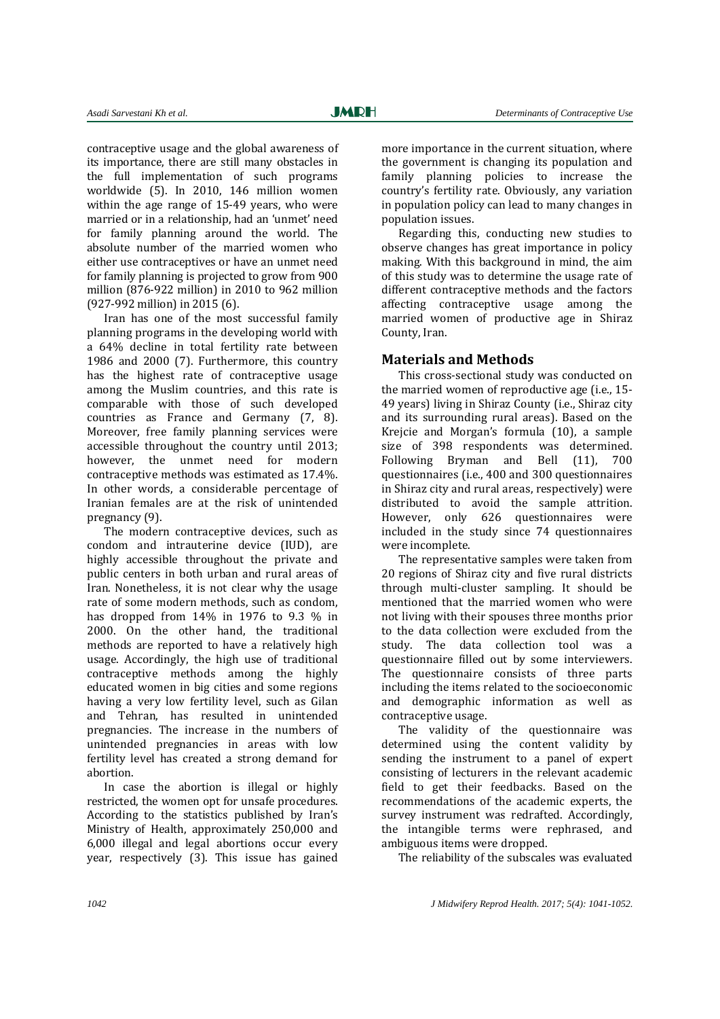contraceptive usage and the global awareness of its importance, there are still many obstacles in the full implementation of such programs worldwide (5). In 2010, 146 million women within the age range of 15-49 years, who were married or in a relationship, had an 'unmet' need for family planning around the world. The absolute number of the married women who either use contraceptives or have an unmet need for family planning is projected to grow from 900 million (876-922 million) in 2010 to 962 million (927-992 million) in 2015 (6).

Iran has one of the most successful family planning programs in the developing world with a 64% decline in total fertility rate between 1986 and 2000 (7). Furthermore, this country has the highest rate of contraceptive usage among the Muslim countries, and this rate is comparable with those of such developed countries as France and Germany (7, 8). Moreover, free family planning services were accessible throughout the country until 2013; however, the unmet need for modern contraceptive methods was estimated as 17.4%. In other words, a considerable percentage of Iranian females are at the risk of unintended pregnancy (9).

The modern contraceptive devices, such as condom and intrauterine device (IUD), are highly accessible throughout the private and public centers in both urban and rural areas of Iran. Nonetheless, it is not clear why the usage rate of some modern methods, such as condom, has dropped from 14% in 1976 to 9.3 % in 2000. On the other hand, the traditional methods are reported to have a relatively high usage. Accordingly, the high use of traditional contraceptive methods among the highly educated women in big cities and some regions having a very low fertility level, such as Gilan and Tehran, has resulted in unintended pregnancies. The increase in the numbers of unintended pregnancies in areas with low fertility level has created a strong demand for abortion.

In case the abortion is illegal or highly restricted, the women opt for unsafe procedures. According to the statistics published by Iran's Ministry of Health, approximately 250,000 and 6,000 illegal and legal abortions occur every year, respectively (3). This issue has gained

more importance in the current situation, where the government is changing its population and family planning policies to increase the country's fertility rate. Obviously, any variation in population policy can lead to many changes in population issues.

Regarding this, conducting new studies to observe changes has great importance in policy making. With this background in mind, the aim of this study was to determine the usage rate of different contraceptive methods and the factors affecting contraceptive usage among the married women of productive age in Shiraz County, Iran.

#### **Materials and Methods**

This cross-sectional study was conducted on the married women of reproductive age (i.e., 15- 49 years) living in Shiraz County (i.e., Shiraz city and its surrounding rural areas). Based on the Kreicie and Morgan's formula (10), a sample size of 398 respondents was determined. Following Bryman and Bell (11), 700 questionnaires (i.e., 400 and 300 questionnaires in Shiraz city and rural areas, respectively) were distributed to avoid the sample attrition. However, only 626 questionnaires were included in the study since 74 questionnaires were incomplete.

The representative samples were taken from 20 regions of Shiraz city and five rural districts through multi-cluster sampling. It should be mentioned that the married women who were not living with their spouses three months prior to the data collection were excluded from the study. The data collection tool was a questionnaire filled out by some interviewers. The questionnaire consists of three parts including the items related to the socioeconomic and demographic information as well as contraceptive usage.

The validity of the questionnaire was determined using the content validity by sending the instrument to a panel of expert consisting of lecturers in the relevant academic field to get their feedbacks. Based on the recommendations of the academic experts, the survey instrument was redrafted. Accordingly, the intangible terms were rephrased, and ambiguous items were dropped.

The reliability of the subscales was evaluated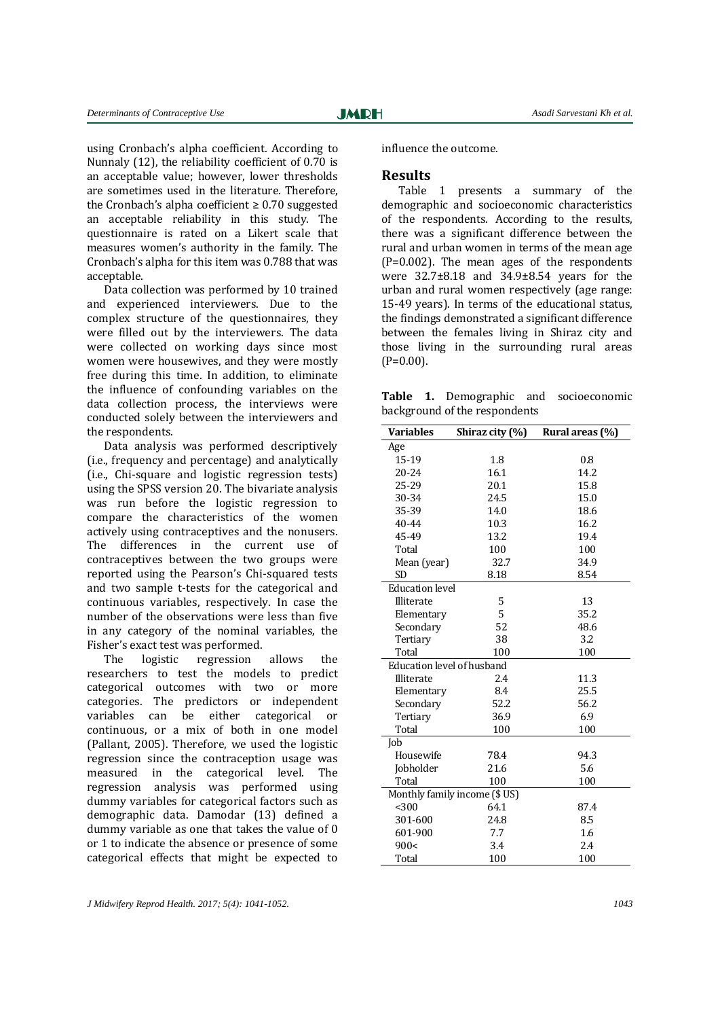using Cronbach's alpha coefficient. According to Nunnaly (12), the reliability coefficient of 0.70 is an acceptable value; however, lower thresholds are sometimes used in the literature. Therefore, the Cronbach's alpha coefficient  $\geq 0.70$  suggested an acceptable reliability in this study. The questionnaire is rated on a Likert scale that measures women's authority in the family. The Cronbach's alpha for this item was 0.788 that was acceptable.

Data collection was performed by 10 trained and experienced interviewers. Due to the complex structure of the questionnaires, they were filled out by the interviewers. The data were collected on working days since most women were housewives, and they were mostly free during this time. In addition, to eliminate the influence of confounding variables on the data collection process, the interviews were conducted solely between the interviewers and the respondents.

Data analysis was performed descriptively (i.e., frequency and percentage) and analytically (i.e., Chi-square and logistic regression tests) using the SPSS version 20. The bivariate analysis was run before the logistic regression to compare the characteristics of the women actively using contraceptives and the nonusers. The differences in the current use of contraceptives between the two groups were reported using the Pearson's Chi-squared tests and two sample t-tests for the categorical and continuous variables, respectively. In case the number of the observations were less than five in any category of the nominal variables, the Fisher's exact test was performed.

The logistic regression allows the researchers to test the models to predict categorical outcomes with two or more categories. The predictors or independent variables can be either categorical or continuous, or a mix of both in one model (Pallant, 2005). Therefore, we used the logistic regression since the contraception usage was measured in the categorical level. The regression analysis was performed using dummy variables for categorical factors such as demographic data. Damodar (13) defined a dummy variable as one that takes the value of 0 or 1 to indicate the absence or presence of some categorical effects that might be expected to

influence the outcome.

## **Results**

Table 1 presents a summary of the demographic and socioeconomic characteristics of the respondents. According to the results, there was a significant difference between the rural and urban women in terms of the mean age (P=0.002). The mean ages of the respondents were 32.7±8.18 and 34.9±8.54 years for the urban and rural women respectively (age range: 15-49 years). In terms of the educational status, the findings demonstrated a significant difference between the females living in Shiraz city and those living in the surrounding rural areas  $(P=0.00)$ .

**Table 1.** Demographic and socioeconomic background of the respondents

| <b>Variables</b>              | Shiraz city (%) | Rural areas (%) |  |  |  |  |
|-------------------------------|-----------------|-----------------|--|--|--|--|
| Age                           |                 |                 |  |  |  |  |
| 15-19                         | 1.8             | 0.8             |  |  |  |  |
| 20-24                         | 16.1            | 14.2            |  |  |  |  |
| 25-29                         | 20.1            | 15.8            |  |  |  |  |
| 30-34                         | 24.5            | 15.0            |  |  |  |  |
| 35-39                         | 14.0            | 18.6            |  |  |  |  |
| $40 - 44$                     | 10.3            | 16.2            |  |  |  |  |
| 45-49                         | 13.2            | 19.4            |  |  |  |  |
| Total                         | 100             | 100             |  |  |  |  |
| Mean (year)                   | 32.7            | 34.9            |  |  |  |  |
| <b>SD</b>                     | 8.18            | 8.54            |  |  |  |  |
| <b>Education</b> level        |                 |                 |  |  |  |  |
| Illiterate                    | 5               | 13              |  |  |  |  |
| Elementary                    | 5               | 35.2            |  |  |  |  |
| Secondary                     | 52              | 48.6            |  |  |  |  |
| Tertiary                      | 38              | 3.2             |  |  |  |  |
| Total                         | 100             | 100             |  |  |  |  |
| Education level of husband    |                 |                 |  |  |  |  |
| Illiterate                    | 2.4             | 11.3            |  |  |  |  |
| Elementary                    | 8.4             | 25.5            |  |  |  |  |
| Secondary                     | 52.2            | 56.2            |  |  |  |  |
| Tertiary                      | 36.9            | 6.9             |  |  |  |  |
| Total                         | 100             | 100             |  |  |  |  |
| Job                           |                 |                 |  |  |  |  |
| Housewife                     | 78.4            | 94.3            |  |  |  |  |
| Jobholder                     | 21.6            | 5.6             |  |  |  |  |
| Total                         | 100             | 100             |  |  |  |  |
| Monthly family income (\$ US) |                 |                 |  |  |  |  |
| < 300                         | 64.1            | 87.4            |  |  |  |  |
| 301-600                       | 24.8            | 8.5             |  |  |  |  |
| 601-900                       | 7.7             | 1.6             |  |  |  |  |
| 900<                          | 3.4             | 2.4             |  |  |  |  |
| Total                         | 100             | 100             |  |  |  |  |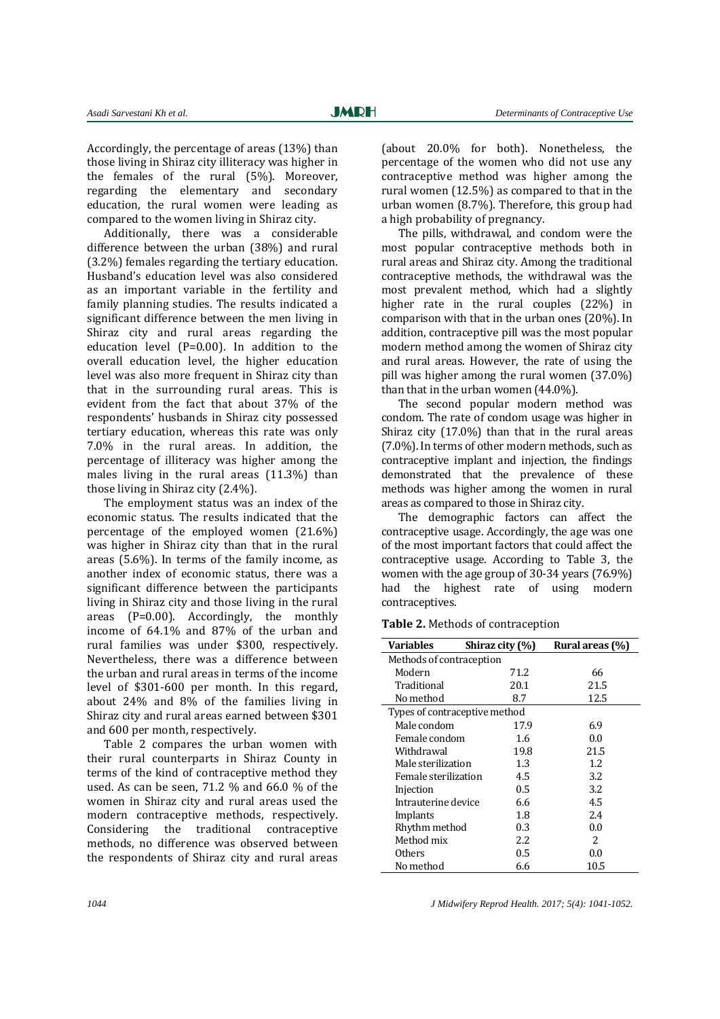Accordingly, the percentage of areas (13%) than those living in Shiraz city illiteracy was higher in the females of the rural (5%). Moreover, regarding the elementary and secondary education, the rural women were leading as compared to the women living in Shiraz city.

Additionally, there was a considerable difference between the urban (38%) and rural (3.2%) females regarding the tertiary education. Husband's education level was also considered as an important variable in the fertility and family planning studies. The results indicated a significant difference between the men living in Shiraz city and rural areas regarding the education level (P=0.00). In addition to the overall education level, the higher education level was also more frequent in Shiraz city than that in the surrounding rural areas. This is evident from the fact that about 37% of the respondents' husbands in Shiraz city possessed tertiary education, whereas this rate was only 7.0% in the rural areas. In addition, the percentage of illiteracy was higher among the males living in the rural areas (11.3%) than those living in Shiraz city (2.4%).

The employment status was an index of the economic status. The results indicated that the percentage of the employed women (21.6%) was higher in Shiraz city than that in the rural areas (5.6%). In terms of the family income, as another index of economic status, there was a significant difference between the participants living in Shiraz city and those living in the rural areas (P=0.00). Accordingly, the monthly income of 64.1% and 87% of the urban and rural families was under \$300, respectively. Nevertheless, there was a difference between the urban and rural areas in terms of the income level of \$301-600 per month. In this regard, about 24% and 8% of the families living in Shiraz city and rural areas earned between \$301 and 600 per month, respectively.

Table 2 compares the urban women with their rural counterparts in Shiraz County in terms of the kind of contraceptive method they used. As can be seen, 71.2 % and 66.0 % of the women in Shiraz city and rural areas used the modern contraceptive methods, respectively. Considering the traditional contraceptive methods, no difference was observed between the respondents of Shiraz city and rural areas

(about 20.0% for both). Nonetheless, the percentage of the women who did not use any contraceptive method was higher among the rural women (12.5%) as compared to that in the urban women (8.7%). Therefore, this group had a high probability of pregnancy.

The pills, withdrawal, and condom were the most popular contraceptive methods both in rural areas and Shiraz city. Among the traditional contraceptive methods, the withdrawal was the most prevalent method, which had a slightly higher rate in the rural couples (22%) in comparison with that in the urban ones (20%). In addition, contraceptive pill was the most popular modern method among the women of Shiraz city and rural areas. However, the rate of using the pill was higher among the rural women (37.0%) than that in the urban women (44.0%).

The second popular modern method was condom. The rate of condom usage was higher in Shiraz city (17.0%) than that in the rural areas (7.0%). In terms of other modern methods, such as contraceptive implant and injection, the findings demonstrated that the prevalence of these methods was higher among the women in rural areas as compared to those in Shiraz city.

The demographic factors can affect the contraceptive usage. Accordingly, the age was one of the most important factors that could affect the contraceptive usage. According to Table 3, the women with the age group of 30-34 years (76.9%) had the highest rate of using modern contraceptives.

**Table 2.** Methods of contraception

| <b>Variables</b>              | Shiraz city (%) | Rural areas (%) |
|-------------------------------|-----------------|-----------------|
| Methods of contraception      |                 |                 |
| Modern                        | 71.2            | 66              |
| Traditional                   | 20.1            | 21.5            |
| No method                     | 8.7             | 12.5            |
| Types of contraceptive method |                 |                 |
| Male condom                   | 17.9            | 6.9             |
| Female condom                 | 1.6             | 0.0             |
| Withdrawal                    | 19.8            | 21.5            |
| Male sterilization            | 1.3             | 1.2             |
| Female sterilization          | 4.5             | 3.2             |
| Injection                     | 0.5             | 3.2             |
| Intrauterine device           | 6.6             | 4.5             |
| Implants                      | 1.8             | 2.4             |
| Rhythm method                 | 0.3             | 0.0             |
| Method mix                    | 2.2             | 2               |
| Others                        | 0.5             | 0.0             |
| No method                     | 6.6             | 10.5            |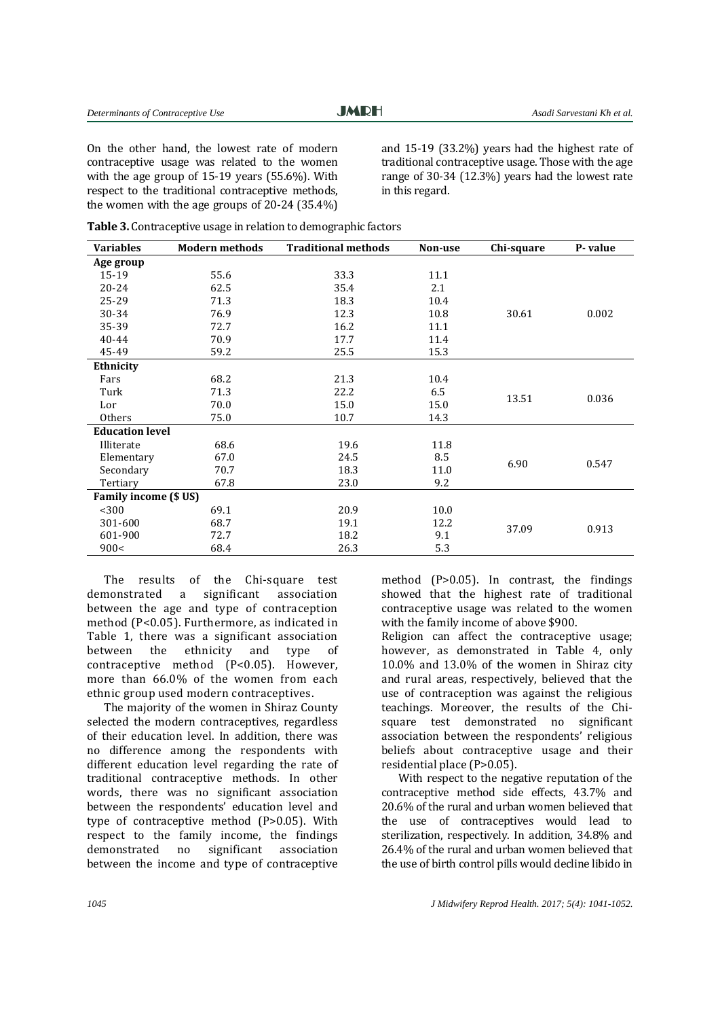**JMRH** 

On the other hand, the lowest rate of modern contraceptive usage was related to the women with the age group of 15-19 years (55.6%). With respect to the traditional contraceptive methods, the women with the age groups of 20-24 (35.4%)

and 15-19 (33.2%) years had the highest rate of traditional contraceptive usage. Those with the age range of 30-34 (12.3%) years had the lowest rate in this regard.

| Table 3. Contraceptive usage in relation to demographic factors |
|-----------------------------------------------------------------|
|-----------------------------------------------------------------|

| <b>Variables</b>       | <b>Modern methods</b> | <b>Traditional methods</b> | Non-use | Chi-square | P-value |
|------------------------|-----------------------|----------------------------|---------|------------|---------|
| Age group              |                       |                            |         |            |         |
| 15-19                  | 55.6                  | 33.3                       | 11.1    |            |         |
| 20-24                  | 62.5                  | 35.4                       | 2.1     |            |         |
| 25-29                  | 71.3                  | 18.3                       | 10.4    |            |         |
| 30-34                  | 76.9                  | 12.3                       | 10.8    | 30.61      | 0.002   |
| 35-39                  | 72.7                  | 16.2                       | 11.1    |            |         |
| 40-44                  | 70.9                  | 17.7                       | 11.4    |            |         |
| 45-49                  | 59.2                  | 25.5                       | 15.3    |            |         |
| Ethnicity              |                       |                            |         |            |         |
| Fars                   | 68.2                  | 21.3                       | 10.4    |            |         |
| Turk                   | 71.3                  | 22.2                       | 6.5     |            |         |
| Lor                    | 70.0                  | 15.0                       | 15.0    | 13.51      | 0.036   |
| Others                 | 75.0                  | 10.7                       | 14.3    |            |         |
| <b>Education level</b> |                       |                            |         |            |         |
| Illiterate             | 68.6                  | 19.6                       | 11.8    |            |         |
| Elementary             | 67.0                  | 24.5                       | 8.5     | 6.90       | 0.547   |
| Secondary              | 70.7                  | 18.3                       | 11.0    |            |         |
| Tertiary               | 67.8                  | 23.0                       | 9.2     |            |         |
| Family income (\$ US)  |                       |                            |         |            |         |
| < 300                  | 69.1                  | 20.9                       | 10.0    |            |         |
| 301-600                | 68.7                  | 19.1                       | 12.2    |            |         |
| 601-900                | 72.7                  | 18.2                       | 9.1     | 37.09      | 0.913   |
| 900<                   | 68.4                  | 26.3                       | 5.3     |            |         |

The results of the Chi-square test demonstrated a significant association between the age and type of contraception method (P<0.05). Furthermore, as indicated in Table 1, there was a significant association between the ethnicity and type of contraceptive method (P<0.05). However, more than 66.0% of the women from each ethnic group used modern contraceptives.

The majority of the women in Shiraz County selected the modern contraceptives, regardless of their education level. In addition, there was no difference among the respondents with different education level regarding the rate of traditional contraceptive methods. In other words, there was no significant association between the respondents' education level and type of contraceptive method (P>0.05). With respect to the family income, the findings demonstrated no significant association between the income and type of contraceptive

method (P>0.05). In contrast, the findings showed that the highest rate of traditional contraceptive usage was related to the women with the family income of above \$900.

Religion can affect the contraceptive usage; however, as demonstrated in Table 4, only 10.0% and 13.0% of the women in Shiraz city and rural areas, respectively, believed that the use of contraception was against the religious teachings. Moreover, the results of the Chisquare test demonstrated no significant association between the respondents' religious beliefs about contraceptive usage and their residential place (P>0.05).

With respect to the negative reputation of the contraceptive method side effects, 43.7% and 20.6% of the rural and urban women believed that the use of contraceptives would lead to sterilization, respectively. In addition, 34.8% and 26.4% of the rural and urban women believed that the use of birth control pills would decline libido in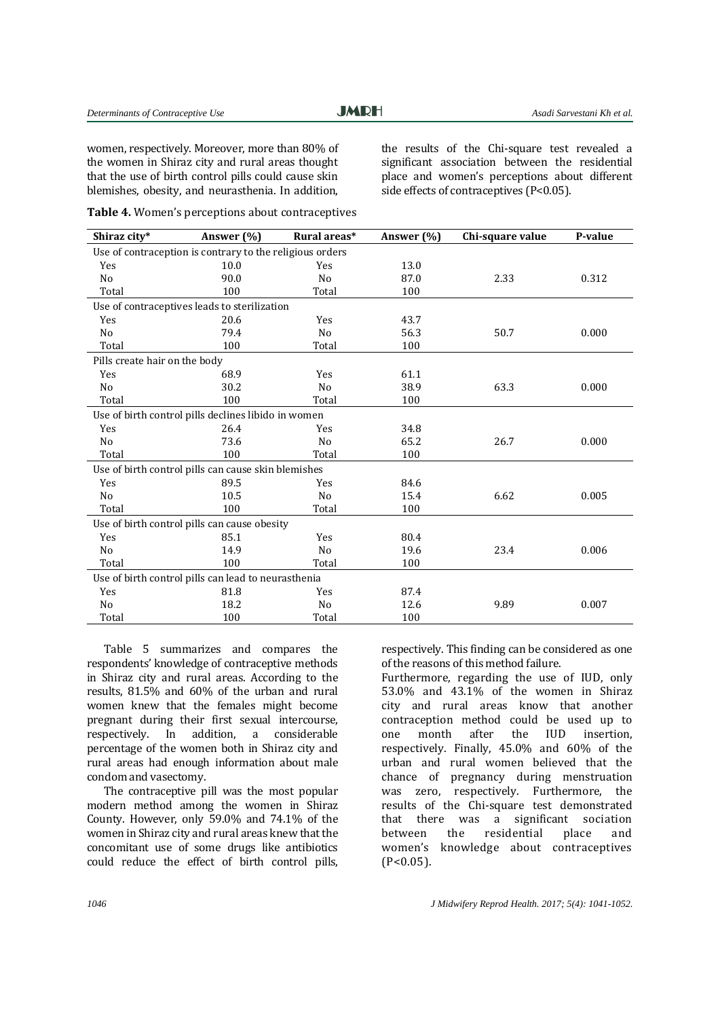**JMRH** 

women, respectively. Moreover, more than 80% of the women in Shiraz city and rural areas thought that the use of birth control pills could cause skin blemishes, obesity, and neurasthenia. In addition,

the results of the Chi-square test revealed a significant association between the residential place and women's perceptions about different side effects of contraceptives (P<0.05).

| Shiraz city*                                             | Answer $(\% )$ | Rural areas*   | Answer $(\% )$ | Chi-square value | P-value |  |  |
|----------------------------------------------------------|----------------|----------------|----------------|------------------|---------|--|--|
| Use of contraception is contrary to the religious orders |                |                |                |                  |         |  |  |
| Yes                                                      | 10.0           | Yes            | 13.0           |                  |         |  |  |
| No                                                       | 90.0           | No             | 87.0           | 2.33             | 0.312   |  |  |
| Total                                                    | 100            | Total          | 100            |                  |         |  |  |
| Use of contraceptives leads to sterilization             |                |                |                |                  |         |  |  |
| Yes                                                      | 20.6           | Yes            | 43.7           |                  |         |  |  |
| No                                                       | 79.4           | No             | 56.3           | 50.7             | 0.000   |  |  |
| Total                                                    | 100            | Total          | 100            |                  |         |  |  |
| Pills create hair on the body                            |                |                |                |                  |         |  |  |
| Yes                                                      | 68.9           | Yes            | 61.1           |                  |         |  |  |
| N <sub>o</sub>                                           | 30.2           | N <sub>0</sub> | 38.9           | 63.3             | 0.000   |  |  |
| Total                                                    | 100            | Total          | 100            |                  |         |  |  |
| Use of birth control pills declines libido in women      |                |                |                |                  |         |  |  |
| Yes                                                      | 26.4           | Yes            | 34.8           |                  |         |  |  |
| No                                                       | 73.6           | N <sub>o</sub> | 65.2           | 26.7             | 0.000   |  |  |
| Total                                                    | 100            | Total          | 100            |                  |         |  |  |
| Use of birth control pills can cause skin blemishes      |                |                |                |                  |         |  |  |
| Yes                                                      | 89.5           | Yes            | 84.6           |                  |         |  |  |
| No                                                       | 10.5           | N <sub>o</sub> | 15.4           | 6.62             | 0.005   |  |  |
| Total                                                    | 100            | Total          | 100            |                  |         |  |  |
| Use of birth control pills can cause obesity             |                |                |                |                  |         |  |  |
| Yes                                                      | 85.1           | Yes            | 80.4           |                  |         |  |  |
| N <sub>o</sub>                                           | 14.9           | N <sub>o</sub> | 19.6           | 23.4             | 0.006   |  |  |
| Total                                                    | 100            | Total          | 100            |                  |         |  |  |
| Use of birth control pills can lead to neurasthenia      |                |                |                |                  |         |  |  |
| Yes                                                      | 81.8           | Yes            | 87.4           |                  |         |  |  |
| N <sub>o</sub>                                           | 18.2           | N <sub>o</sub> | 12.6           | 9.89             | 0.007   |  |  |
| Total                                                    | 100            | Total          | 100            |                  |         |  |  |

**Table 4.** Women's perceptions about contraceptives

Table 5 summarizes and compares the respondents' knowledge of contraceptive methods in Shiraz city and rural areas. According to the results, 81.5% and 60% of the urban and rural women knew that the females might become pregnant during their first sexual intercourse, respectively. In addition, a considerable percentage of the women both in Shiraz city and rural areas had enough information about male condom and vasectomy.

The contraceptive pill was the most popular modern method among the women in Shiraz County. However, only 59.0% and 74.1% of the women in Shiraz city and rural areas knew that the concomitant use of some drugs like antibiotics could reduce the effect of birth control pills, respectively. This finding can be considered as one of the reasons of this method failure.

Furthermore, regarding the use of IUD, only 53.0% and 43.1% of the women in Shiraz city and rural areas know that another contraception method could be used up to one month after the IUD insertion, respectively. Finally, 45.0% and 60% of the urban and rural women believed that the chance of pregnancy during menstruation was zero, respectively. Furthermore, the results of the Chi-square test demonstrated that there was a significant sociation between the residential place and women's knowledge about contraceptives  $(P<0.05)$ .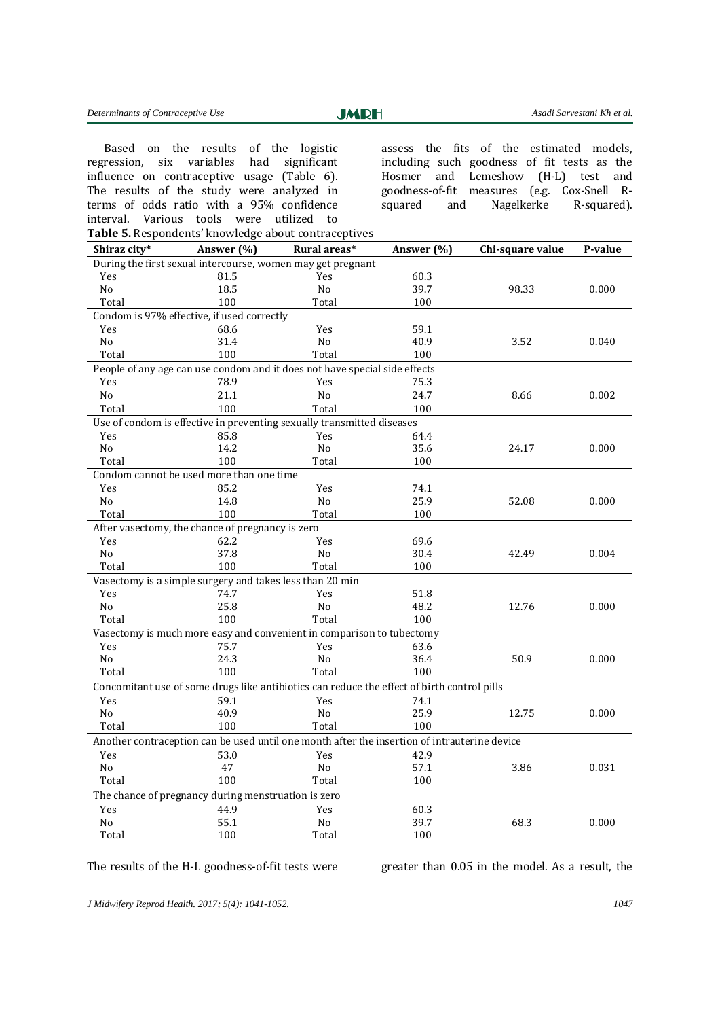Based on the results of the logistic regression, six variables had significant influence on contraceptive usage (Table 6). The results of the study were analyzed in terms of odds ratio with a 95% confidence interval. Various tools were utilized to

assess the fits of the estimated models, including such goodness of fit tests as the Hosmer and Lemeshow (H-L) test and goodness-of-fit measures (e.g. Cox-Snell Rsquared and Nagelkerke R-squared).

| Shiraz city*                                                                                 | Answer (%)                                               | Rural areas*                                                               | Answer (%) | Chi-square value | P-value |  |  |
|----------------------------------------------------------------------------------------------|----------------------------------------------------------|----------------------------------------------------------------------------|------------|------------------|---------|--|--|
| During the first sexual intercourse, women may get pregnant                                  |                                                          |                                                                            |            |                  |         |  |  |
| Yes                                                                                          | 81.5                                                     | Yes                                                                        | 60.3       |                  |         |  |  |
| No                                                                                           | 18.5                                                     | No                                                                         | 39.7       | 98.33            | 0.000   |  |  |
| Total                                                                                        | 100                                                      | Total                                                                      | 100        |                  |         |  |  |
|                                                                                              | Condom is 97% effective, if used correctly               |                                                                            |            |                  |         |  |  |
| Yes                                                                                          | 68.6                                                     | Yes                                                                        | 59.1       |                  |         |  |  |
| N <sub>o</sub>                                                                               | 31.4                                                     | No                                                                         | 40.9       | 3.52             | 0.040   |  |  |
| Total                                                                                        | 100                                                      | Total                                                                      | 100        |                  |         |  |  |
|                                                                                              |                                                          | People of any age can use condom and it does not have special side effects |            |                  |         |  |  |
| Yes                                                                                          | 78.9                                                     | Yes                                                                        | 75.3       |                  |         |  |  |
| No                                                                                           | 21.1                                                     | No                                                                         | 24.7       | 8.66             | 0.002   |  |  |
| Total                                                                                        | 100                                                      | Total                                                                      | 100        |                  |         |  |  |
|                                                                                              |                                                          | Use of condom is effective in preventing sexually transmitted diseases     |            |                  |         |  |  |
| Yes                                                                                          | 85.8                                                     | Yes                                                                        | 64.4       |                  |         |  |  |
| No                                                                                           | 14.2                                                     | No                                                                         | 35.6       | 24.17            | 0.000   |  |  |
| Total                                                                                        | 100                                                      | Total                                                                      | 100        |                  |         |  |  |
|                                                                                              | Condom cannot be used more than one time                 |                                                                            |            |                  |         |  |  |
| Yes                                                                                          | 85.2                                                     | Yes                                                                        | 74.1       |                  |         |  |  |
| N <sub>o</sub>                                                                               | 14.8                                                     | N <sub>o</sub>                                                             | 25.9       | 52.08            | 0.000   |  |  |
| Total                                                                                        | 100                                                      | Total                                                                      | 100        |                  |         |  |  |
|                                                                                              | After vasectomy, the chance of pregnancy is zero         |                                                                            |            |                  |         |  |  |
| Yes                                                                                          | 62.2                                                     | Yes                                                                        | 69.6       |                  |         |  |  |
| N <sub>o</sub>                                                                               | 37.8                                                     | N <sub>o</sub>                                                             | 30.4       | 42.49            | 0.004   |  |  |
| Total                                                                                        | 100                                                      | Total                                                                      | 100        |                  |         |  |  |
|                                                                                              | Vasectomy is a simple surgery and takes less than 20 min |                                                                            |            |                  |         |  |  |
| Yes                                                                                          | 74.7                                                     | Yes                                                                        | 51.8       |                  |         |  |  |
| No                                                                                           | 25.8                                                     | N <sub>0</sub>                                                             | 48.2       | 12.76            | 0.000   |  |  |
| Total                                                                                        | 100                                                      | Total                                                                      | 100        |                  |         |  |  |
|                                                                                              |                                                          | Vasectomy is much more easy and convenient in comparison to tubectomy      |            |                  |         |  |  |
| Yes                                                                                          | 75.7                                                     | Yes                                                                        | 63.6       |                  |         |  |  |
| N <sub>o</sub>                                                                               | 24.3                                                     | N <sub>o</sub>                                                             | 36.4       | 50.9             | 0.000   |  |  |
| Total                                                                                        | 100                                                      | Total                                                                      | 100        |                  |         |  |  |
| Concomitant use of some drugs like antibiotics can reduce the effect of birth control pills  |                                                          |                                                                            |            |                  |         |  |  |
| Yes                                                                                          | 59.1                                                     | Yes                                                                        | 74.1       |                  |         |  |  |
| N <sub>o</sub>                                                                               | 40.9                                                     | No.                                                                        | 25.9       | 12.75            | 0.000   |  |  |
| Total                                                                                        | 100                                                      | Total                                                                      | 100        |                  |         |  |  |
| Another contraception can be used until one month after the insertion of intrauterine device |                                                          |                                                                            |            |                  |         |  |  |
| Yes                                                                                          | 53.0                                                     | Yes                                                                        | 42.9       |                  |         |  |  |
| No                                                                                           | 47                                                       | No                                                                         | 57.1       | 3.86             | 0.031   |  |  |
| Total                                                                                        | 100                                                      | Total                                                                      | 100        |                  |         |  |  |
| The chance of pregnancy during menstruation is zero                                          |                                                          |                                                                            |            |                  |         |  |  |
| Yes                                                                                          | 44.9                                                     | Yes                                                                        | 60.3       |                  |         |  |  |
| N <sub>o</sub>                                                                               | 55.1                                                     | No                                                                         | 39.7       | 68.3             | 0.000   |  |  |
| Total                                                                                        | 100                                                      | Total                                                                      | 100        |                  |         |  |  |

The results of the H-L goodness-of-fit tests were greater than 0.05 in the model. As a result, the

*J Midwifery Reprod Health. 2017; 5(4): 1041-1052. 1047*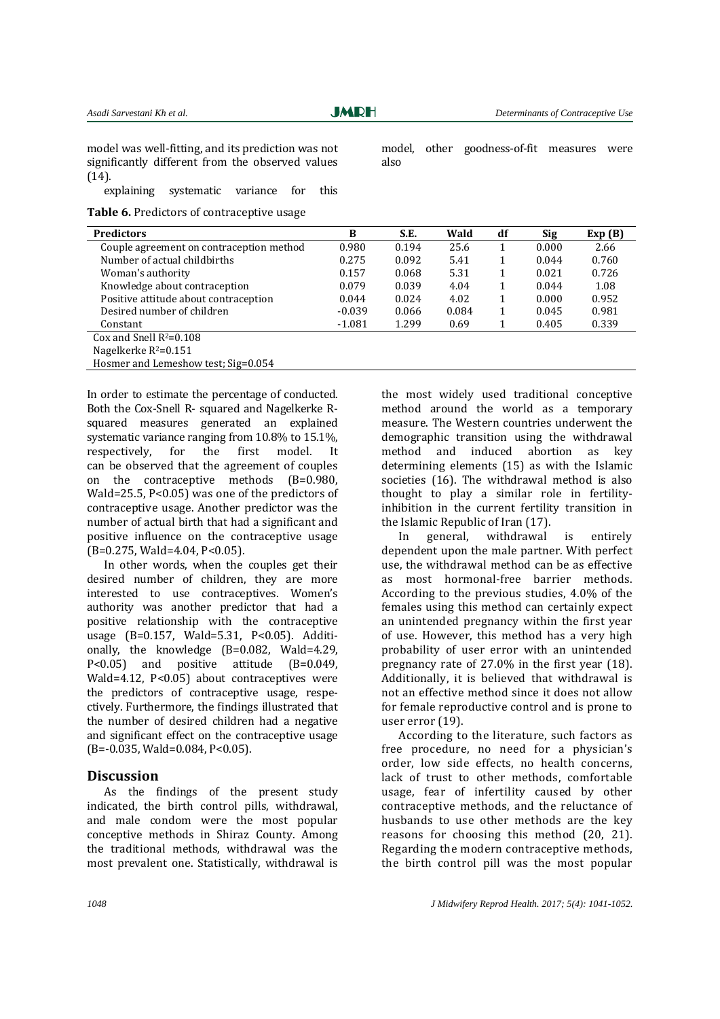**JMRH** 

also

model, other goodness-of-fit measures were

model was well-fitting, and its prediction was not significantly different from the observed values (14).

explaining systematic variance for this

**Table 6.** Predictors of contraceptive usage

| <b>Predictors</b>                        | B        | S.E.  | Wald  | df | <b>Sig</b> | Exp(B) |
|------------------------------------------|----------|-------|-------|----|------------|--------|
|                                          |          |       |       |    |            |        |
| Couple agreement on contraception method | 0.980    | 0.194 | 25.6  |    | 0.000      | 2.66   |
| Number of actual childbirths             | 0.275    | 0.092 | 5.41  |    | 0.044      | 0.760  |
| Woman's authority                        | 0.157    | 0.068 | 5.31  |    | 0.021      | 0.726  |
| Knowledge about contraception            | 0.079    | 0.039 | 4.04  |    | 0.044      | 1.08   |
| Positive attitude about contraception    | 0.044    | 0.024 | 4.02  |    | 0.000      | 0.952  |
| Desired number of children               | $-0.039$ | 0.066 | 0.084 |    | 0.045      | 0.981  |
| Constant                                 | $-1.081$ | 1.299 | 0.69  |    | 0.405      | 0.339  |
| Cox and Snell $R^2=0.108$                |          |       |       |    |            |        |
| Nagelkerke $R^2=0.151$                   |          |       |       |    |            |        |

Hosmer and Lemeshow test; Sig=0.054

In order to estimate the percentage of conducted. Both the Cox-Snell R- squared and Nagelkerke Rsquared measures generated an explained systematic variance ranging from 10.8% to 15.1%, respectively, for the first model. It can be observed that the agreement of couples on the contraceptive methods (B=0.980, Wald=25.5, P<0.05) was one of the predictors of contraceptive usage. Another predictor was the number of actual birth that had a significant and positive influence on the contraceptive usage (B=0.275, Wald=4.04, P<0.05).

In other words, when the couples get their desired number of children, they are more interested to use contraceptives. Women's authority was another predictor that had a positive relationship with the contraceptive usage (B=0.157, Wald=5.31, P<0.05). Additionally, the knowledge (B=0.082, Wald=4.29, P<0.05) and positive attitude (B=0.049, Wald=4.12, P<0.05) about contraceptives were the predictors of contraceptive usage, respectively. Furthermore, the findings illustrated that the number of desired children had a negative and significant effect on the contraceptive usage  $(B=-0.035, Wald=0.084, P<0.05)$ .

## **Discussion**

As the findings of the present study indicated, the birth control pills, withdrawal, and male condom were the most popular conceptive methods in Shiraz County. Among the traditional methods, withdrawal was the most prevalent one. Statistically, withdrawal is

the most widely used traditional conceptive method around the world as a temporary measure. The Western countries underwent the demographic transition using the withdrawal method and induced abortion as key determining elements (15) as with the Islamic societies (16). The withdrawal method is also thought to play a similar role in fertilityinhibition in the current fertility transition in the Islamic Republic of Iran (17).

In general, withdrawal is entirely dependent upon the male partner. With perfect use, the withdrawal method can be as effective as most hormonal-free barrier methods. According to the previous studies, 4.0% of the females using this method can certainly expect an unintended pregnancy within the first year of use. However, this method has a very high probability of user error with an unintended pregnancy rate of 27.0% in the first year (18). Additionally, it is believed that withdrawal is not an effective method since it does not allow for female reproductive control and is prone to user error (19).

According to the literature, such factors as free procedure, no need for a physician's order, low side effects, no health concerns, lack of trust to other methods, comfortable usage, fear of infertility caused by other contraceptive methods, and the reluctance of husbands to use other methods are the key reasons for choosing this method (20, 21). Regarding the modern contraceptive methods, the birth control pill was the most popular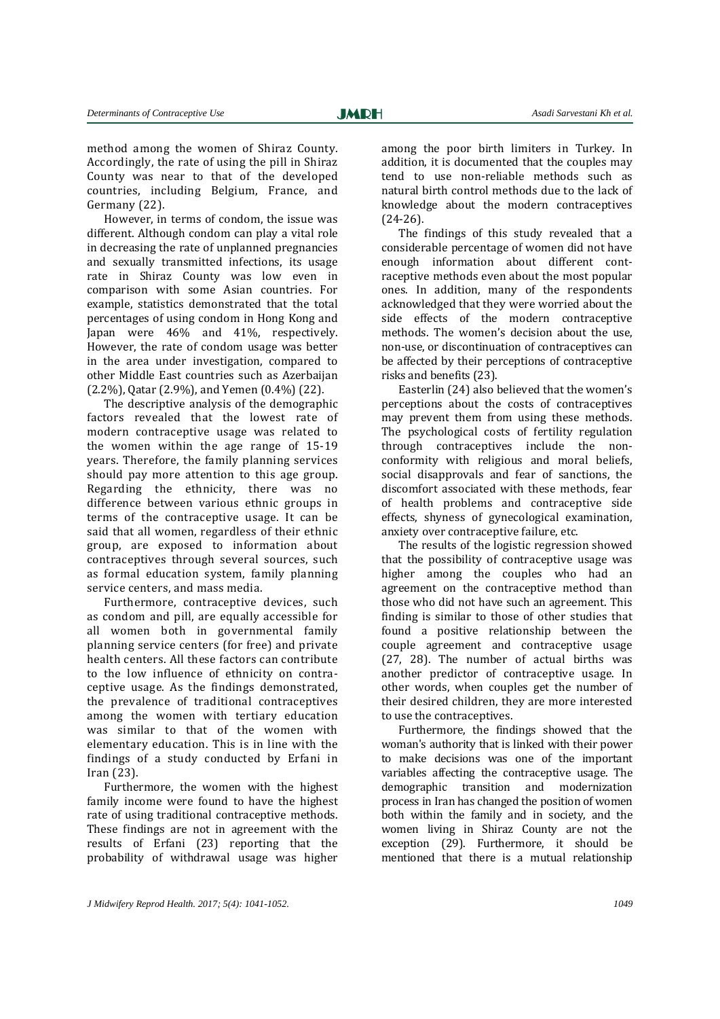method among the women of Shiraz County. Accordingly, the rate of using the pill in Shiraz County was near to that of the developed countries, including Belgium, France, and Germany (22).

However, in terms of condom, the issue was different. Although condom can play a vital role in decreasing the rate of unplanned pregnancies and sexually transmitted infections, its usage rate in Shiraz County was low even in comparison with some Asian countries. For example, statistics demonstrated that the total percentages of using condom in Hong Kong and Japan were 46% and 41%, respectively. However, the rate of condom usage was better in the area under investigation, compared to other Middle East countries such as Azerbaijan (2.2%), Qatar (2.9%), and Yemen (0.4%) (22).

The descriptive analysis of the demographic factors revealed that the lowest rate of modern contraceptive usage was related to the women within the age range of 15-19 years. Therefore, the family planning services should pay more attention to this age group. Regarding the ethnicity, there was no difference between various ethnic groups in terms of the contraceptive usage. It can be said that all women, regardless of their ethnic group, are exposed to information about contraceptives through several sources, such as formal education system, family planning service centers, and mass media.

Furthermore, contraceptive devices, such as condom and pill, are equally accessible for all women both in governmental family planning service centers (for free) and private health centers. All these factors can contribute to the low influence of ethnicity on contraceptive usage. As the findings demonstrated, the prevalence of traditional contraceptives among the women with tertiary education was similar to that of the women with elementary education. This is in line with the findings of a study conducted by Erfani in Iran (23).

Furthermore, the women with the highest family income were found to have the highest rate of using traditional contraceptive methods. These findings are not in agreement with the results of Erfani (23) reporting that the probability of withdrawal usage was higher

among the poor birth limiters in Turkey. In addition, it is documented that the couples may tend to use non-reliable methods such as natural birth control methods due to the lack of knowledge about the modern contraceptives (24-26).

The findings of this study revealed that a considerable percentage of women did not have enough information about different contraceptive methods even about the most popular ones. In addition, many of the respondents acknowledged that they were worried about the side effects of the modern contraceptive methods. The women's decision about the use, non-use, or discontinuation of contraceptives can be affected by their perceptions of contraceptive risks and benefits (23).

Easterlin (24) also believed that the women's perceptions about the costs of contraceptives may prevent them from using these methods. The psychological costs of fertility regulation through contraceptives include the nonconformity with religious and moral beliefs, social disapprovals and fear of sanctions, the discomfort associated with these methods, fear of health problems and contraceptive side effects, shyness of gynecological examination, anxiety over contraceptive failure, etc.

The results of the logistic regression showed that the possibility of contraceptive usage was higher among the couples who had an agreement on the contraceptive method than those who did not have such an agreement. This finding is similar to those of other studies that found a positive relationship between the couple agreement and contraceptive usage (27, 28). The number of actual births was another predictor of contraceptive usage. In other words, when couples get the number of their desired children, they are more interested to use the contraceptives.

Furthermore, the findings showed that the woman's authority that is linked with their power to make decisions was one of the important variables affecting the contraceptive usage. The demographic transition and modernization process in Iran has changed the position of women both within the family and in society, and the women living in Shiraz County are not the exception (29). Furthermore, it should be mentioned that there is a mutual relationship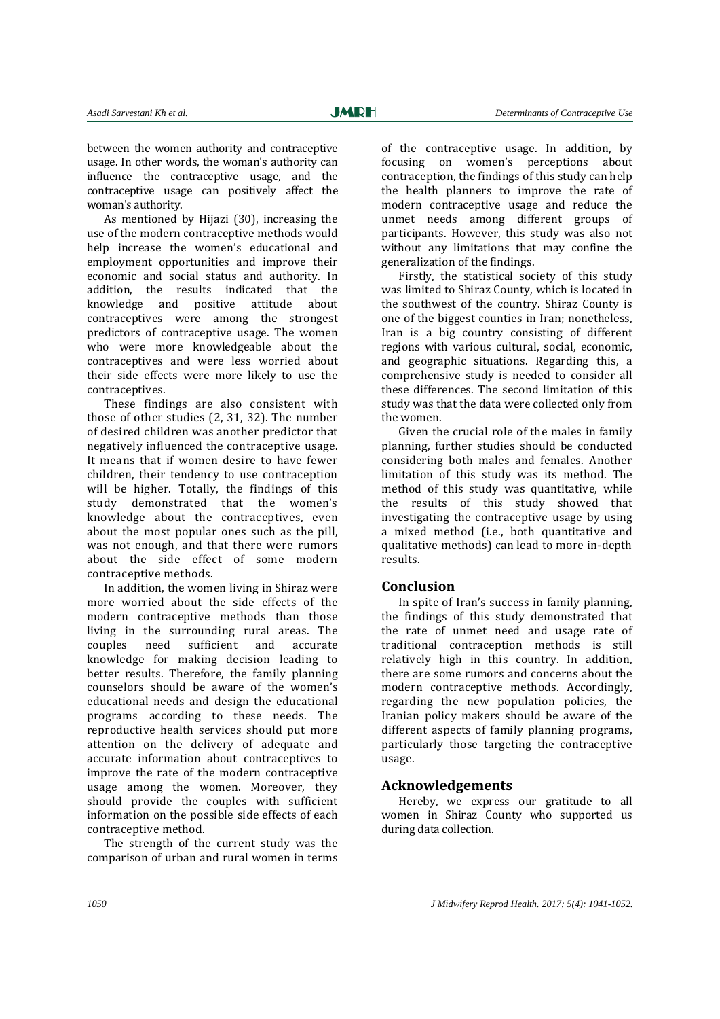between the women authority and contraceptive usage. In other words, the woman's authority can influence the contraceptive usage, and the contraceptive usage can positively affect the woman's authority.

As mentioned by Hijazi (30), increasing the use of the modern contraceptive methods would help increase the women's educational and employment opportunities and improve their economic and social status and authority. In addition, the results indicated that the knowledge and positive attitude about contraceptives were among the strongest predictors of contraceptive usage. The women who were more knowledgeable about the contraceptives and were less worried about their side effects were more likely to use the contraceptives.

These findings are also consistent with those of other studies (2, 31, 32). The number of desired children was another predictor that negatively influenced the contraceptive usage. It means that if women desire to have fewer children, their tendency to use contraception will be higher. Totally, the findings of this study demonstrated that the women's knowledge about the contraceptives, even about the most popular ones such as the pill, was not enough, and that there were rumors about the side effect of some modern contraceptive methods.

In addition, the women living in Shiraz were more worried about the side effects of the modern contraceptive methods than those living in the surrounding rural areas. The couples need sufficient and accurate knowledge for making decision leading to better results. Therefore, the family planning counselors should be aware of the women's educational needs and design the educational programs according to these needs. The reproductive health services should put more attention on the delivery of adequate and accurate information about contraceptives to improve the rate of the modern contraceptive usage among the women. Moreover, they should provide the couples with sufficient information on the possible side effects of each contraceptive method.

The strength of the current study was the comparison of urban and rural women in terms

of the contraceptive usage. In addition, by focusing on women's perceptions about contraception, the findings of this study can help the health planners to improve the rate of modern contraceptive usage and reduce the unmet needs among different groups of participants. However, this study was also not without any limitations that may confine the generalization of the findings.

Firstly, the statistical society of this study was limited to Shiraz County, which is located in the southwest of the country. Shiraz County is one of the biggest counties in Iran; nonetheless, Iran is a big country consisting of different regions with various cultural, social, economic, and geographic situations. Regarding this, a comprehensive study is needed to consider all these differences. The second limitation of this study was that the data were collected only from the women.

Given the crucial role of the males in family planning, further studies should be conducted considering both males and females. Another limitation of this study was its method. The method of this study was quantitative, while the results of this study showed that investigating the contraceptive usage by using a mixed method (i.e., both quantitative and qualitative methods) can lead to more in-depth results.

## **Conclusion**

In spite of Iran's success in family planning, the findings of this study demonstrated that the rate of unmet need and usage rate of traditional contraception methods is still relatively high in this country. In addition, there are some rumors and concerns about the modern contraceptive methods. Accordingly, regarding the new population policies, the Iranian policy makers should be aware of the different aspects of family planning programs, particularly those targeting the contraceptive usage.

## **Acknowledgements**

Hereby, we express our gratitude to all women in Shiraz County who supported us during data collection.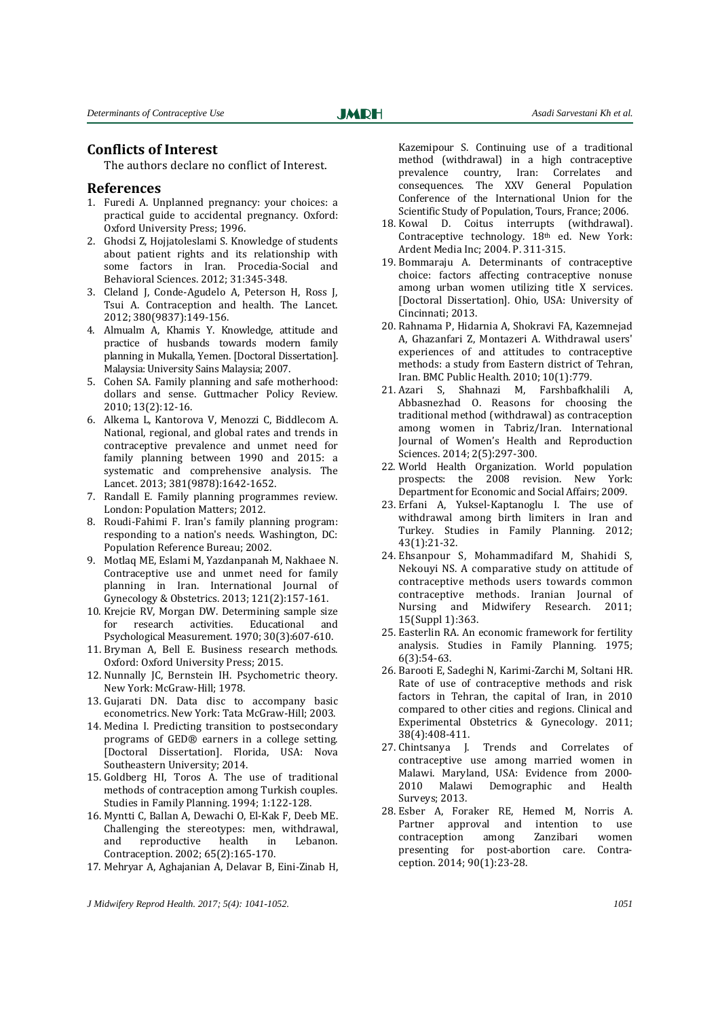### **Conflicts of Interest**

The authors declare no conflict of Interest.

#### **References**

- 1. Furedi A. Unplanned pregnancy: your choices: a practical guide to accidental pregnancy. Oxford: Oxford University Press; 1996.
- 2. Ghodsi Z, Hojjatoleslami S. Knowledge of students about patient rights and its relationship with some factors in Iran. Procedia-Social and Behavioral Sciences. 2012; 31:345-348.
- 3. Cleland J, Conde-Agudelo A, Peterson H, Ross J, Tsui A. Contraception and health. The Lancet. 2012; 380(9837):149-156.
- 4. Almualm A, Khamis Y. Knowledge, attitude and practice of husbands towards modern family planning in Mukalla, Yemen. [Doctoral Dissertation]. Malaysia: University Sains Malaysia; 2007.
- 5. Cohen SA. Family planning and safe motherhood: dollars and sense. Guttmacher Policy Review. 2010; 13(2):12-16.
- 6. Alkema L, Kantorova V, Menozzi C, Biddlecom A. National, regional, and global rates and trends in contraceptive prevalence and unmet need for family planning between 1990 and 2015: a systematic and comprehensive analysis. The Lancet. 2013; 381(9878):1642-1652.
- 7. Randall E. Family planning programmes review. London: Population Matters; 2012.
- 8. Roudi-Fahimi F. Iran's family planning program: responding to a nation's needs. Washington, DC: Population Reference Bureau; 2002.
- 9. Motlaq ME, Eslami M, Yazdanpanah M, Nakhaee N. Contraceptive use and unmet need for family planning in Iran. International Journal of Gynecology & Obstetrics. 2013; 121(2):157-161.
- 10. Krejcie RV, Morgan DW. Determining sample size for research activities. Educational and Psychological Measurement. 1970; 30(3):607-610.
- 11. Bryman A, Bell E. Business research methods. Oxford: Oxford University Press; 2015.
- 12. Nunnally JC, Bernstein IH. Psychometric theory. New York: McGraw-Hill; 1978.
- 13. Gujarati DN. Data disc to accompany basic econometrics. New York: Tata McGraw-Hill; 2003.
- 14. Medina I. Predicting transition to postsecondary programs of GED® earners in a college setting. [Doctoral Dissertation]. Florida, USA: Nova Southeastern University; 2014.
- 15. Goldberg HI, Toros A. The use of traditional methods of contraception among Turkish couples. Studies in Family Planning. 1994; 1:122-128.
- 16. Myntti C, Ballan A, Dewachi O, El-Kak F, Deeb ME. Challenging the stereotypes: men, withdrawal, and reproductive health in Lebanon. Contraception. 2002; 65(2):165-170.
- 17. Mehryar A, Aghajanian A, Delavar B, Eini-Zinab H,

Kazemipour S. Continuing use of a traditional method (withdrawal) in a high contraceptive prevalence country, Iran: Correlates and consequences. The XXV General Population Conference of the International Union for the Scientific Study of Population, Tours, France; 2006.

- 18. Kowal D. Coitus interrupts (withdrawal). Contraceptive technology. 18th ed. New York: Ardent Media Inc; 2004. P. 311-315.
- 19. Bommaraju A. Determinants of contraceptive choice: factors affecting contraceptive nonuse among urban women utilizing title X services. [Doctoral Dissertation]. Ohio, USA: University of Cincinnati; 2013.
- 20. Rahnama P, Hidarnia A, Shokravi FA, Kazemnejad A, Ghazanfari Z, Montazeri A. Withdrawal users' experiences of and attitudes to contraceptive methods: a study from Eastern district of Tehran, Iran. BMC Public Health. 2010; 10(1):779.
- 21. Azari S, Shahnazi M, Farshbafkhalili A, Abbasnezhad O. Reasons for choosing the traditional method (withdrawal) as contraception among women in Tabriz/Iran. International Journal of Women's Health and Reproduction Sciences. 2014; 2(5):297-300.
- 22. World Health Organization. World population prospects: the 2008 revision. New York: Department for Economic and Social Affairs; 2009.
- 23. Erfani A, Yuksel‐Kaptanoglu I. The use of withdrawal among birth limiters in Iran and Turkey. Studies in Family Planning. 2012; 43(1):21-32.
- 24. Ehsanpour S, Mohammadifard M, Shahidi S, Nekouyi NS. A comparative study on attitude of contraceptive methods users towards common contraceptive methods. Iranian Journal of Nursing and Midwifery Research. 2011; 15(Suppl 1):363.
- 25. Easterlin RA. An economic framework for fertility analysis. Studies in Family Planning. 1975; 6(3):54-63.
- 26. Barooti E, Sadeghi N, Karimi-Zarchi M, Soltani HR. Rate of use of contraceptive methods and risk factors in Tehran, the capital of Iran, in 2010 compared to other cities and regions. Clinical and Experimental Obstetrics & Gynecology. 2011; 38(4):408-411.
- 27. Chintsanya J. Trends and Correlates of contraceptive use among married women in Malawi. Maryland, USA: Evidence from 2000-<br>2010 Malawi Demographic and Health Demographic and Health Surveys; 2013.
- 28. Esber A, Foraker RE, Hemed M, Norris A. Partner approval and intention to use contraception among Zanzibari women presenting for post-abortion care. Contraception. 2014; 90(1):23-28.

*J Midwifery Reprod Health. 2017; 5(4): 1041-1052. 1051*